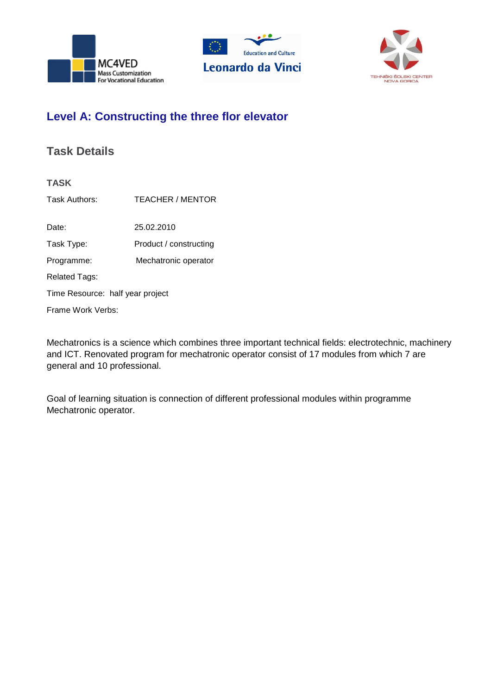





# **Level A: Constructing the three flor elevator**

## **Task Details**

| <b>TASK</b>                      |                         |  |  |  |
|----------------------------------|-------------------------|--|--|--|
| Task Authors:                    | <b>TEACHER / MENTOR</b> |  |  |  |
|                                  |                         |  |  |  |
| Date:                            | 25.02.2010              |  |  |  |
| Task Type:                       | Product / constructing  |  |  |  |
| Programme:                       | Mechatronic operator    |  |  |  |
| Related Tags:                    |                         |  |  |  |
| Time Resource: half year project |                         |  |  |  |
| Frame Work Verbs:                |                         |  |  |  |
|                                  |                         |  |  |  |

Mechatronics is a science which combines three important technical fields: electrotechnic, machinery and ICT. Renovated program for mechatronic operator consist of 17 modules from which 7 are general and 10 professional.

Goal of learning situation is connection of different professional modules within programme Mechatronic operator.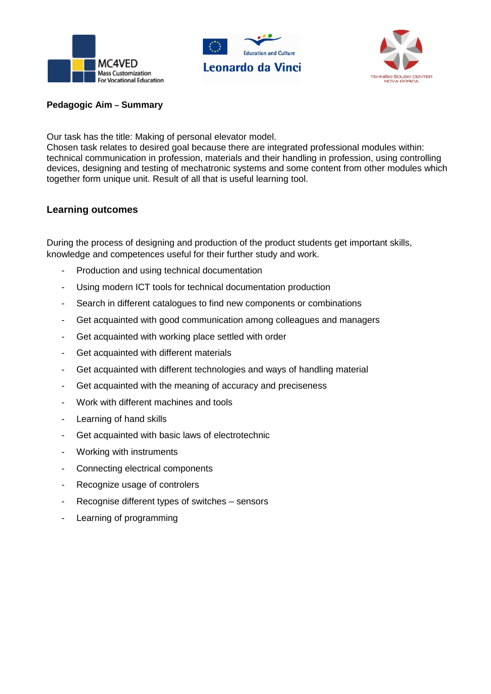





#### **Pedagogic Aim – Summary**

Our task has the title: Making of personal elevator model.

Chosen task relates to desired goal because there are integrated professional modules within: technical communication in profession, materials and their handling in profession, using controlling devices, designing and testing of mechatronic systems and some content from other modules which together form unique unit. Result of all that is useful learning tool.

#### **Learning outcomes**

During the process of designing and production of the product students get important skills, knowledge and competences useful for their further study and work.

- Production and using technical documentation
- Using modern ICT tools for technical documentation production
- Search in different catalogues to find new components or combinations
- Get acquainted with good communication among colleagues and managers
- Get acquainted with working place settled with order
- Get acquainted with different materials
- Get acquainted with different technologies and ways of handling material
- Get acquainted with the meaning of accuracy and preciseness
- Work with different machines and tools
- Learning of hand skills
- Get acquainted with basic laws of electrotechnic
- Working with instruments
- Connecting electrical components
- Recognize usage of controlers
- Recognise different types of switches sensors
- Learning of programming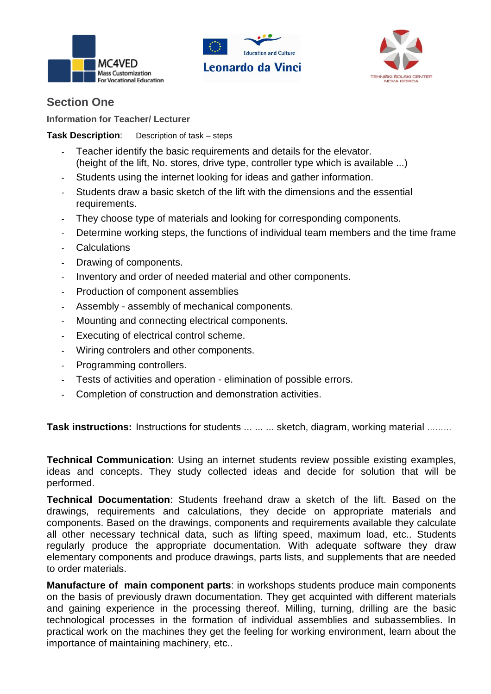





### **Section One**

**Information for Teacher/ Lecturer** 

### **Task Description**: Description of task – steps

- Teacher identify the basic requirements and details for the elevator. (height of the lift, No. stores, drive type, controller type which is available ...)
- Students using the internet looking for ideas and gather information.
- Students draw a basic sketch of the lift with the dimensions and the essential requirements.
- They choose type of materials and looking for corresponding components.
- Determine working steps, the functions of individual team members and the time frame
- **Calculations**
- Drawing of components.
- Inventory and order of needed material and other components.
- Production of component assemblies
- Assembly assembly of mechanical components.
- Mounting and connecting electrical components.
- Executing of electrical control scheme.
- Wiring controlers and other components.
- Programming controllers.
- Tests of activities and operation elimination of possible errors.
- Completion of construction and demonstration activities.

**Task instructions:** Instructions for students ... ... ... sketch, diagram, working material ………

**Technical Communication**: Using an internet students review possible existing examples, ideas and concepts. They study collected ideas and decide for solution that will be performed.

**Technical Documentation**: Students freehand draw a sketch of the lift. Based on the drawings, requirements and calculations, they decide on appropriate materials and components. Based on the drawings, components and requirements available they calculate all other necessary technical data, such as lifting speed, maximum load, etc.. Students regularly produce the appropriate documentation. With adequate software they draw elementary components and produce drawings, parts lists, and supplements that are needed to order materials.

**Manufacture of main component parts**: in workshops students produce main components on the basis of previously drawn documentation. They get acquinted with different materials and gaining experience in the processing thereof. Milling, turning, drilling are the basic technological processes in the formation of individual assemblies and subassemblies. In practical work on the machines they get the feeling for working environment, learn about the importance of maintaining machinery, etc..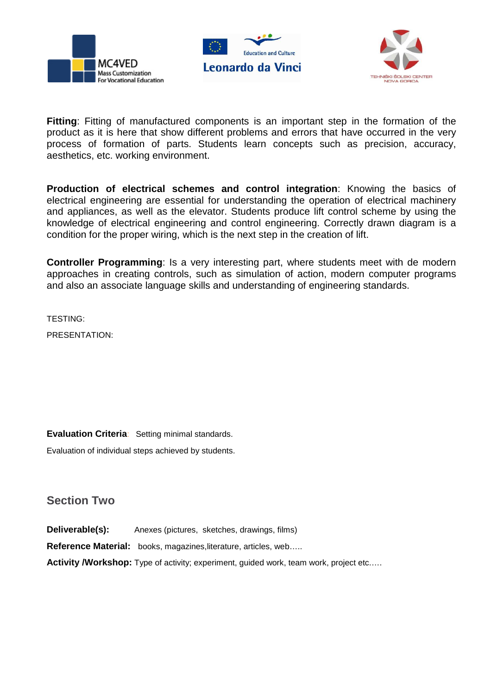





**Fitting**: Fitting of manufactured components is an important step in the formation of the product as it is here that show different problems and errors that have occurred in the very process of formation of parts. Students learn concepts such as precision, accuracy, aesthetics, etc. working environment.

**Production of electrical schemes and control integration**: Knowing the basics of electrical engineering are essential for understanding the operation of electrical machinery and appliances, as well as the elevator. Students produce lift control scheme by using the knowledge of electrical engineering and control engineering. Correctly drawn diagram is a condition for the proper wiring, which is the next step in the creation of lift.

**Controller Programming**: Is a very interesting part, where students meet with de modern approaches in creating controls, such as simulation of action, modern computer programs and also an associate language skills and understanding of engineering standards.

TESTING:

PRESENTATION:

**Evaluation Criteria**: Setting minimal standards.

Evaluation of individual steps achieved by students.

### **Section Two**

**Deliverable(s):** Anexes (pictures, sketches, drawings, films) **Reference Material:** books, magazines,literature, articles, web….. **Activity /Workshop:** Type of activity; experiment, guided work, team work, project etc.....